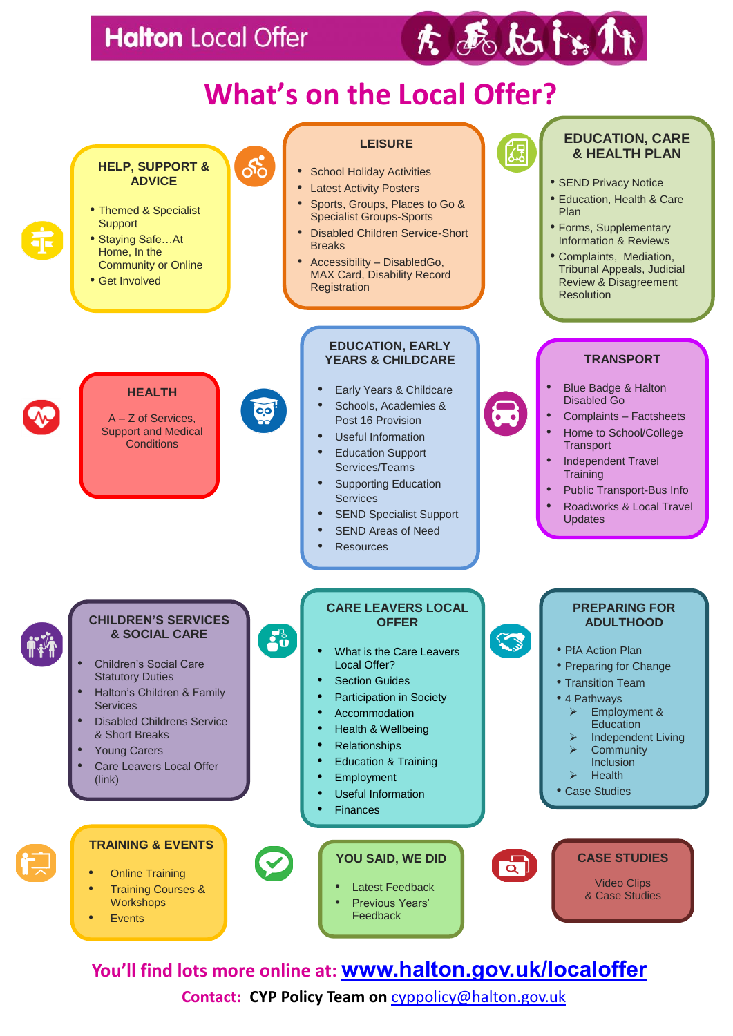## **Halton** Local Offer



# **What's on the Local Offer?**



**You'll find lots more online at: [www.halton.gov.uk/localoffer](http://www.halton.gov.uk/localoffer)**

**Contact: CYP Policy Team on** [cyppolicy@halton.gov.uk](mailto:cyppolicy@halton.gov.uk)